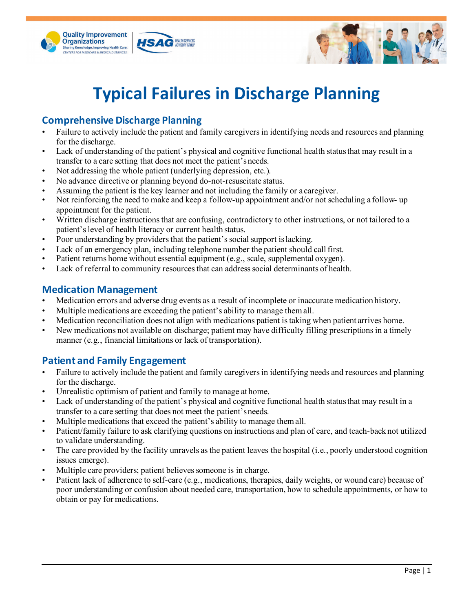



# **Typical Failures in Discharge Planning**

## **Comprehensive Discharge Planning**

- Failure to actively include the patient and family caregivers in identifying needs and resources and planning for the discharge.
- Lack of understanding of the patient's physical and cognitive functional health status that may result in a transfer to a care setting that does not meet the patient'sneeds.
- Not addressing the whole patient (underlying depression, etc.).
- No advance directive or planning beyond do-not-resuscitate status.
- Assuming the patient is the key learner and not including the family or a caregiver.
- Not reinforcing the need to make and keep a follow-up appointment and/or not scheduling a follow- up appointment for the patient.
- Written discharge instructions that are confusing, contradictory to other instructions, or not tailored to a patient's level of health literacy or current health status.
- Poor understanding by providers that the patient's social support is lacking.
- Lack of an emergency plan, including telephone number the patient should call first.
- Patient returns home without essential equipment (e.g., scale, supplemental oxygen).
- Lack of referral to community resources that can address social determinants of health.

### **Medication Management**

- Medication errors and adverse drug events as a result of incomplete or inaccurate medication history.
- Multiple medications are exceeding the patient's ability to manage themall.
- Medication reconciliation does not align with medications patient is taking when patient arrives home.
- New medications not available on discharge; patient may have difficulty filling prescriptions in a timely manner (e.g., financial limitations or lack of transportation).

### **Patient and Family Engagement**

- Failure to actively include the patient and family caregivers in identifying needs and resources and planning for the discharge.
- Unrealistic optimism of patient and family to manage at home.
- Lack of understanding of the patient's physical and cognitive functional health status that may result in a transfer to a care setting that does not meet the patient'sneeds.
- Multiple medications that exceed the patient's ability to manage themall.
- Patient/family failure to ask clarifying questions on instructions and plan of care, and teach-back not utilized to validate understanding.
- The care provided by the facility unravels as the patient leaves the hospital (i.e., poorly understood cognition issues emerge).
- Multiple care providers; patient believes someone is in charge.
- Patient lack of adherence to self-care (e.g., medications, therapies, daily weights, or wound care) because of poor understanding or confusion about needed care, transportation, how to schedule appointments, or how to obtain or pay for medications.